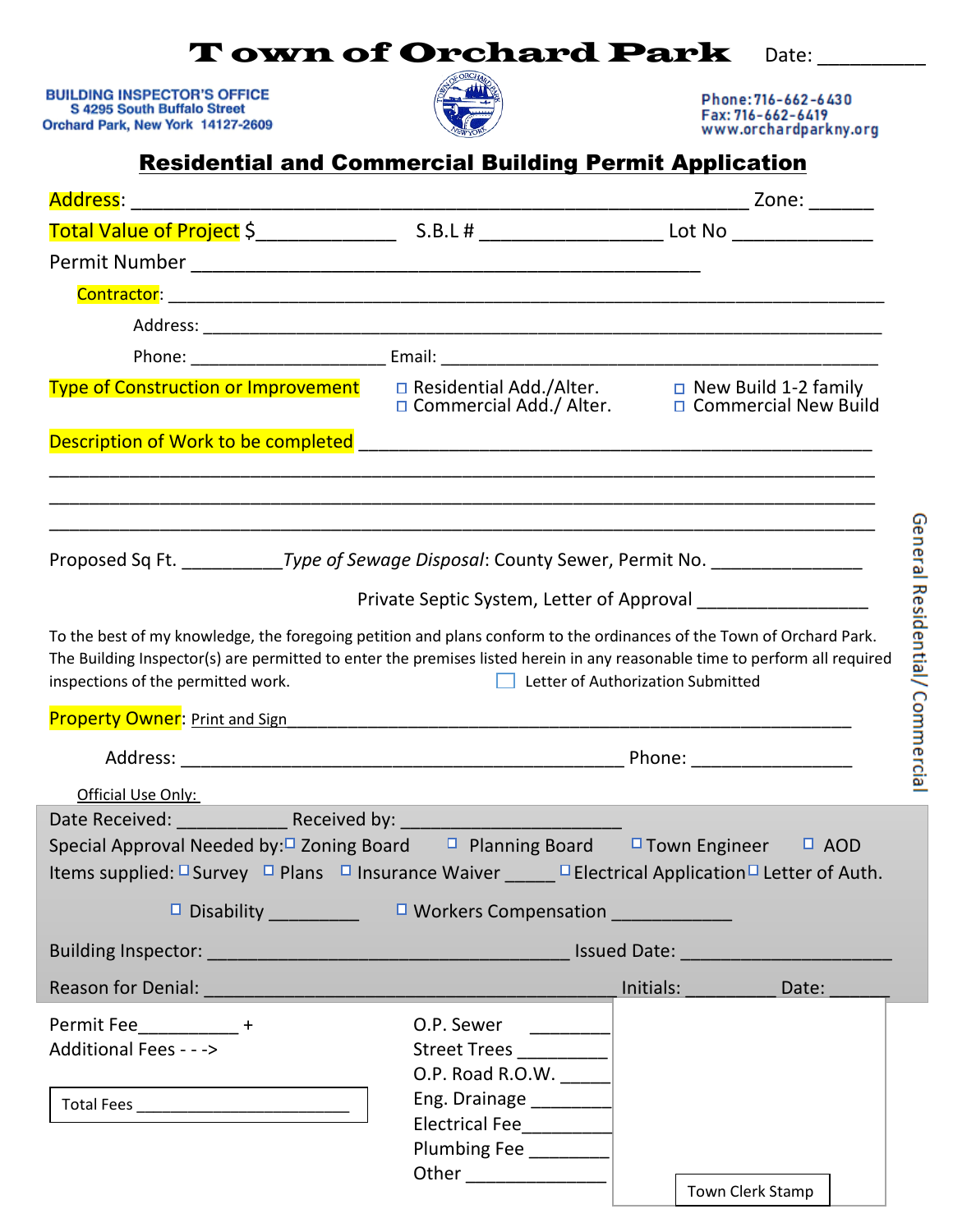## Town of Orchard Park Date:

**BUILDING INSPECTOR'S OFFICE**<br>S 4295 South Buffalo Street Orchard Park, New York 14127-2609



Phone: 716-662-6430 Fax: 716-662-6419<br>www.orchardparkny.org

|                                                                                                                                                                                                                                                                                     | <b>Residential and Commercial Building Permit Application</b>  |  |                 |  |
|-------------------------------------------------------------------------------------------------------------------------------------------------------------------------------------------------------------------------------------------------------------------------------------|----------------------------------------------------------------|--|-----------------|--|
|                                                                                                                                                                                                                                                                                     |                                                                |  |                 |  |
|                                                                                                                                                                                                                                                                                     |                                                                |  |                 |  |
|                                                                                                                                                                                                                                                                                     |                                                                |  |                 |  |
|                                                                                                                                                                                                                                                                                     |                                                                |  |                 |  |
|                                                                                                                                                                                                                                                                                     |                                                                |  |                 |  |
|                                                                                                                                                                                                                                                                                     |                                                                |  |                 |  |
| New Build 1-2 family = Residential Add./Alter = new Build 1-2 family = New Build 1-2 family<br>Commercial Add./ Alter. = = Commercial New Build = = Commercial Add./ Alter. = = = Commercial New Build                                                                              |                                                                |  |                 |  |
|                                                                                                                                                                                                                                                                                     |                                                                |  |                 |  |
| <u> 1989 - Johann Stoff, deutscher Stoff, der Stoff, der Stoff, der Stoff, der Stoff, der Stoff, der Stoff, der S</u><br>Proposed Sq Ft. ____________Type of Sewage Disposal: County Sewer, Permit No. ____________________                                                         |                                                                |  |                 |  |
|                                                                                                                                                                                                                                                                                     | Private Septic System, Letter of Approval                      |  |                 |  |
| inspections of the permitted work.<br>Property Owner: Print and Sign Manual Manual Manual Manual Manual Manual Manual Manual Manual Manual                                                                                                                                          | Letter of Authorization Submitted                              |  |                 |  |
|                                                                                                                                                                                                                                                                                     |                                                                |  |                 |  |
| Official Use Only:                                                                                                                                                                                                                                                                  |                                                                |  |                 |  |
| Special Approval Needed by: <sup><math>\Box</math></sup> Zoning Board $\Box$ Planning Board $\Box$ Town Engineer $\Box$ AOD<br>Items supplied: <sup><math>\Box</math></sup> Survey $\Box$ Plans $\Box$ Insurance Waiver ______ $\Box$ Electrical Application $\Box$ Letter of Auth. | □ Disability ___________  □ Workers Compensation _____________ |  |                 |  |
|                                                                                                                                                                                                                                                                                     |                                                                |  |                 |  |
|                                                                                                                                                                                                                                                                                     |                                                                |  | Initials: Date: |  |
| Permit Fee____________+                                                                                                                                                                                                                                                             | O.P. Sewer                                                     |  |                 |  |
| Additional Fees - - ->                                                                                                                                                                                                                                                              | Street Trees _________                                         |  |                 |  |
|                                                                                                                                                                                                                                                                                     | O.P. Road R.O.W. ______                                        |  |                 |  |
|                                                                                                                                                                                                                                                                                     | Eng. Drainage _________                                        |  |                 |  |
|                                                                                                                                                                                                                                                                                     | Electrical Fee_________                                        |  |                 |  |
|                                                                                                                                                                                                                                                                                     |                                                                |  |                 |  |

Other \_\_\_\_\_\_\_\_\_\_\_\_\_\_

Town Clerk Stamp